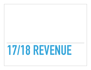## **17/18 REVENUE**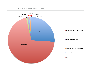## **2017-2018 PTA NET REVENUE: \$212,833.46**

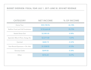| BUDGET OVERVIEW: FISCAL YEAR JULY 1, 2017-JUNE 30, 2018 NET REVENUE |                   |             |  |
|---------------------------------------------------------------------|-------------------|-------------|--|
|                                                                     |                   |             |  |
| <b>CATEGORY</b>                                                     | <b>NET INCOME</b> | % OF INCOME |  |
| <b>Home Tour</b>                                                    | \$55,728.96       | 26.18%      |  |
| <b>Stallion Fund and Fall Fundraiser</b>                            | \$150,664.48      | 70.79%      |  |
| <b>Steele Dines Out</b>                                             | \$2,085.00        | 0.98%       |  |
| Specials: Bike-A-Thon, Swag, Etc.                                   | \$2,277.00        | 1.07%       |  |
| Carnival                                                            | $-$ \$682.74      | $-0.32%$    |  |
| <b>Year-Round Sponsors + Dir. Ads</b>                               | \$1,538.92        | 0.72%       |  |
| <b>Grocery Cards</b>                                                | \$649.00          | 0.30%       |  |
| Other                                                               | \$576.24          | 0.27%       |  |
|                                                                     |                   |             |  |
|                                                                     |                   |             |  |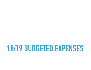## **18/19 BUDGETED EXPENSES**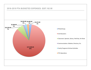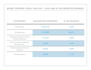| BUDGET OVERVIEW: FISCAL YEAR JULY 1, 2018-JUNE 30, 2019 BUDGETED EXPENSES |                          |             |
|---------------------------------------------------------------------------|--------------------------|-------------|
|                                                                           |                          |             |
| <b>CATEGORY</b>                                                           | <b>BUDGETED EXPENSES</b> | % OF BUDGET |
| Philanthropy                                                              | \$5,572.90               | 2.69%       |
| <b>2nd Educators</b>                                                      | \$175,000                | 84.47%      |
| <b>Classroom, Specials, Library,</b><br><b>Rocketry Stipends</b>          | \$14,250                 | 6.88%       |
| <b>Communications: Website,</b><br>Directory, Etc.                        | \$3,300                  | 1.59%       |
| <b>Family Programs &amp; School</b><br><b>Activities</b>                  | \$4,550                  | 2.20%       |
| <b>PTA Operations</b>                                                     | \$4,490                  | 217%        |
|                                                                           |                          |             |
|                                                                           |                          |             |